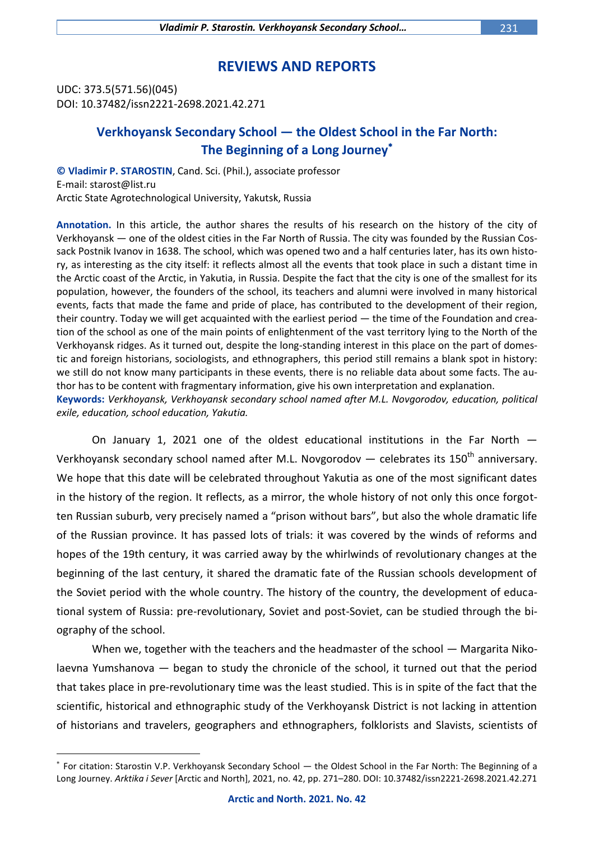## **REVIEWS AND REPORTS**

UDC: 373.5(571.56)(045) DOI: 10.37482/issn2221-2698.2021.42.271

 $\overline{a}$ 

## **Verkhoyansk Secondary School — the Oldest School in the Far North: The Beginning of a Long Journey**

**© Vladimir P. STAROSTIN**, Cand. Sci. (Phil.), associate professor E-mail: starost@list.ru Arctic State Agrotechnological University, Yakutsk, Russia

**Annotation.** In this article, the author shares the results of his research on the history of the city of Verkhoyansk — one of the oldest cities in the Far North of Russia. The city was founded by the Russian Cossack Postnik Ivanov in 1638. The school, which was opened two and a half centuries later, has its own history, as interesting as the city itself: it reflects almost all the events that took place in such a distant time in the Arctic coast of the Arctic, in Yakutia, in Russia. Despite the fact that the city is one of the smallest for its population, however, the founders of the school, its teachers and alumni were involved in many historical events, facts that made the fame and pride of place, has contributed to the development of their region, their country. Today we will get acquainted with the earliest period — the time of the Foundation and creation of the school as one of the main points of enlightenment of the vast territory lying to the North of the Verkhoyansk ridges. As it turned out, despite the long-standing interest in this place on the part of domestic and foreign historians, sociologists, and ethnographers, this period still remains a blank spot in history: we still do not know many participants in these events, there is no reliable data about some facts. The author has to be content with fragmentary information, give his own interpretation and explanation. **Keywords:** *Verkhoyansk, Verkhoyansk secondary school named after M.L. Novgorodov, education, political exile, education, school education, Yakutia.*

On January 1, 2021 one of the oldest educational institutions in the Far North — Verkhoyansk secondary school named after M.L. Novgorodov  $-$  celebrates its 150<sup>th</sup> anniversary. We hope that this date will be celebrated throughout Yakutia as one of the most significant dates in the history of the region. It reflects, as a mirror, the whole history of not only this once forgotten Russian suburb, very precisely named a "prison without bars", but also the whole dramatic life of the Russian province. It has passed lots of trials: it was covered by the winds of reforms and hopes of the 19th century, it was carried away by the whirlwinds of revolutionary changes at the beginning of the last century, it shared the dramatic fate of the Russian schools development of the Soviet period with the whole country. The history of the country, the development of educational system of Russia: pre-revolutionary, Soviet and post-Soviet, can be studied through the biography of the school.

When we, together with the teachers and the headmaster of the school — Margarita Nikolaevna Yumshanova — began to study the chronicle of the school, it turned out that the period that takes place in pre-revolutionary time was the least studied. This is in spite of the fact that the scientific, historical and ethnographic study of the Verkhoyansk District is not lacking in attention of historians and travelers, geographers and ethnographers, folklorists and Slavists, scientists of

For citation: Starostin V.P. Verkhoyansk Secondary School — the Oldest School in the Far North: The Beginning of a Long Journey. *Arktika i Sever* [Arctic and North], 2021, no. 42, pp. 271–280. DOI: 10.37482/issn2221-2698.2021.42.271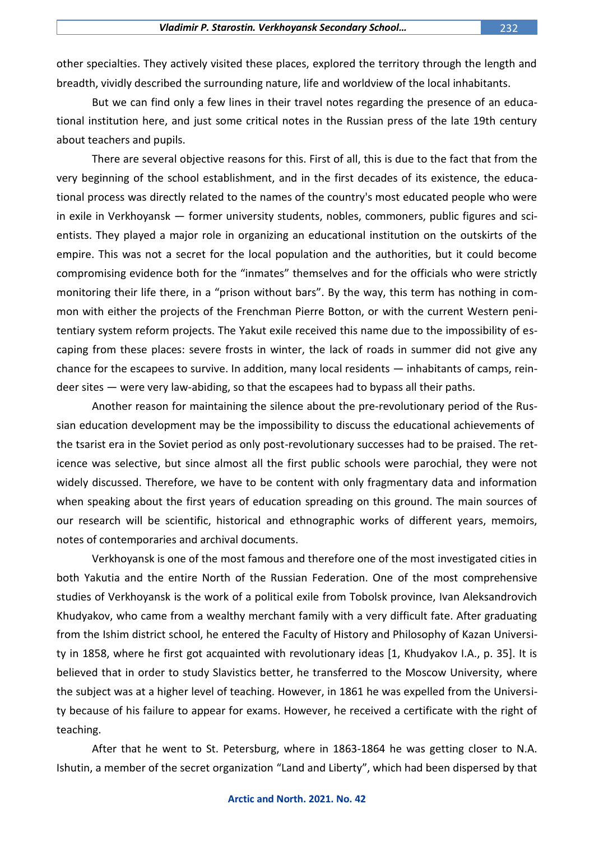other specialties. They actively visited these places, explored the territory through the length and breadth, vividly described the surrounding nature, life and worldview of the local inhabitants.

But we can find only a few lines in their travel notes regarding the presence of an educational institution here, and just some critical notes in the Russian press of the late 19th century about teachers and pupils.

There are several objective reasons for this. First of all, this is due to the fact that from the very beginning of the school establishment, and in the first decades of its existence, the educational process was directly related to the names of the country's most educated people who were in exile in Verkhoyansk — former university students, nobles, commoners, public figures and scientists. They played a major role in organizing an educational institution on the outskirts of the empire. This was not a secret for the local population and the authorities, but it could become compromising evidence both for the "inmates" themselves and for the officials who were strictly monitoring their life there, in a "prison without bars". By the way, this term has nothing in common with either the projects of the Frenchman Pierre Botton, or with the current Western penitentiary system reform projects. The Yakut exile received this name due to the impossibility of escaping from these places: severe frosts in winter, the lack of roads in summer did not give any chance for the escapees to survive. In addition, many local residents — inhabitants of camps, reindeer sites — were very law-abiding, so that the escapees had to bypass all their paths.

Another reason for maintaining the silence about the pre-revolutionary period of the Russian education development may be the impossibility to discuss the educational achievements of the tsarist era in the Soviet period as only post-revolutionary successes had to be praised. The reticence was selective, but since almost all the first public schools were parochial, they were not widely discussed. Therefore, we have to be content with only fragmentary data and information when speaking about the first years of education spreading on this ground. The main sources of our research will be scientific, historical and ethnographic works of different years, memoirs, notes of contemporaries and archival documents.

Verkhoyansk is one of the most famous and therefore one of the most investigated cities in both Yakutia and the entire North of the Russian Federation. One of the most comprehensive studies of Verkhoyansk is the work of a political exile from Tobolsk province, Ivan Aleksandrovich Khudyakov, who came from a wealthy merchant family with a very difficult fate. After graduating from the Ishim district school, he entered the Faculty of History and Philosophy of Kazan University in 1858, where he first got acquainted with revolutionary ideas [1, Khudyakov I.A., p. 35]. It is believed that in order to study Slavistics better, he transferred to the Moscow University, where the subject was at a higher level of teaching. However, in 1861 he was expelled from the University because of his failure to appear for exams. However, he received a certificate with the right of teaching.

After that he went to St. Petersburg, where in 1863-1864 he was getting closer to N.A. Ishutin, a member of the secret organization "Land and Liberty", which had been dispersed by that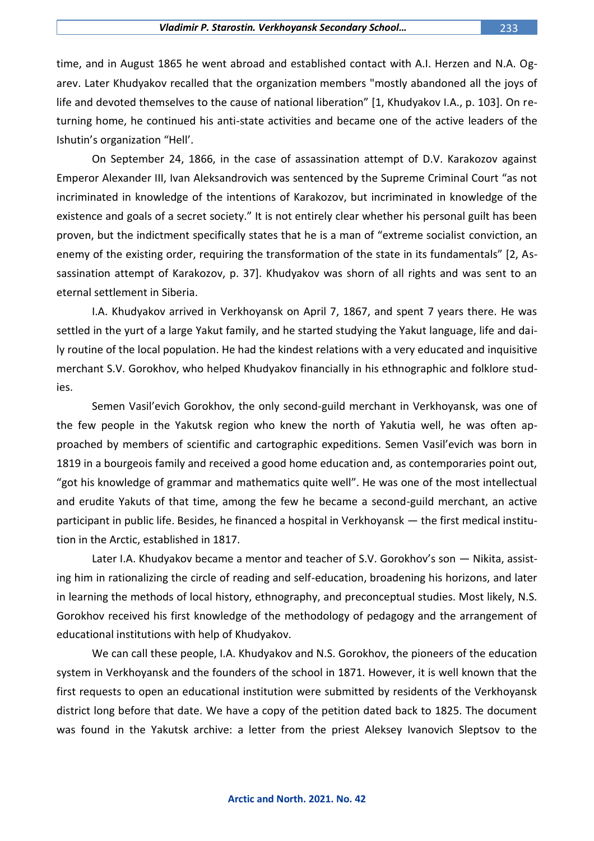time, and in August 1865 he went abroad and established contact with A.I. Herzen and N.A. Ogarev. Later Khudyakov recalled that the organization members "mostly abandoned all the joys of life and devoted themselves to the cause of national liberation" [1, Khudyakov I.A., p. 103]. On returning home, he continued his anti-state activities and became one of the active leaders of the Ishutin's organization "Hell'.

On September 24, 1866, in the case of assassination attempt of D.V. Karakozov against Emperor Alexander III, Ivan Aleksandrovich was sentenced by the Supreme Criminal Court "as not incriminated in knowledge of the intentions of Karakozov, but incriminated in knowledge of the existence and goals of a secret society." It is not entirely clear whether his personal guilt has been proven, but the indictment specifically states that he is a man of "extreme socialist conviction, an enemy of the existing order, requiring the transformation of the state in its fundamentals" [2, Assassination attempt of Karakozov, p. 37]. Khudyakov was shorn of all rights and was sent to an eternal settlement in Siberia.

I.A. Khudyakov arrived in Verkhoyansk on April 7, 1867, and spent 7 years there. He was settled in the yurt of a large Yakut family, and he started studying the Yakut language, life and daily routine of the local population. He had the kindest relations with a very educated and inquisitive merchant S.V. Gorokhov, who helped Khudyakov financially in his ethnographic and folklore studies.

Semen Vasil'evich Gorokhov, the only second-guild merchant in Verkhoyansk, was one of the few people in the Yakutsk region who knew the north of Yakutia well, he was often approached by members of scientific and cartographic expeditions. Semen Vasil'evich was born in 1819 in a bourgeois family and received a good home education and, as contemporaries point out, "got his knowledge of grammar and mathematics quite well". He was one of the most intellectual and erudite Yakuts of that time, among the few he became a second-guild merchant, an active participant in public life. Besides, he financed a hospital in Verkhoyansk — the first medical institution in the Arctic, established in 1817.

Later I.A. Khudyakov became a mentor and teacher of S.V. Gorokhov's son — Nikita, assisting him in rationalizing the circle of reading and self-education, broadening his horizons, and later in learning the methods of local history, ethnography, and preconceptual studies. Most likely, N.S. Gorokhov received his first knowledge of the methodology of pedagogy and the arrangement of educational institutions with help of Khudyakov.

We can call these people, I.A. Khudyakov and N.S. Gorokhov, the pioneers of the education system in Verkhoyansk and the founders of the school in 1871. However, it is well known that the first requests to open an educational institution were submitted by residents of the Verkhoyansk district long before that date. We have a copy of the petition dated back to 1825. The document was found in the Yakutsk archive: a letter from the priest Aleksey Ivanovich Sleptsov to the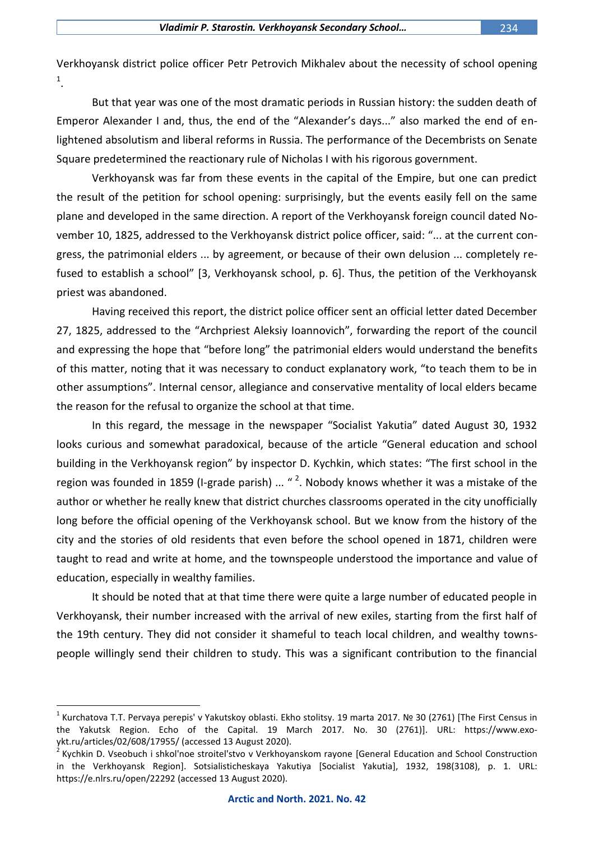Verkhoyansk district police officer Petr Petrovich Mikhalev about the necessity of school opening 1 .

But that year was one of the most dramatic periods in Russian history: the sudden death of Emperor Alexander I and, thus, the end of the "Alexander's days..." also marked the end of enlightened absolutism and liberal reforms in Russia. The performance of the Decembrists on Senate Square predetermined the reactionary rule of Nicholas I with his rigorous government.

Verkhoyansk was far from these events in the capital of the Empire, but one can predict the result of the petition for school opening: surprisingly, but the events easily fell on the same plane and developed in the same direction. A report of the Verkhoyansk foreign council dated November 10, 1825, addressed to the Verkhoyansk district police officer, said: "... at the current congress, the patrimonial elders ... by agreement, or because of their own delusion ... completely refused to establish a school" [3, Verkhoyansk school, p. 6]. Thus, the petition of the Verkhoyansk priest was abandoned.

Having received this report, the district police officer sent an official letter dated December 27, 1825, addressed to the "Archpriest Aleksiy Ioannovich", forwarding the report of the council and expressing the hope that "before long" the patrimonial elders would understand the benefits of this matter, noting that it was necessary to conduct explanatory work, "to teach them to be in other assumptions". Internal censor, allegiance and conservative mentality of local elders became the reason for the refusal to organize the school at that time.

In this regard, the message in the newspaper "Socialist Yakutia" dated August 30, 1932 looks curious and somewhat paradoxical, because of the article "General education and school building in the Verkhoyansk region" by inspector D. Kychkin, which states: "The first school in the region was founded in 1859 (I-grade parish) ...  $\text{``}^2$ . Nobody knows whether it was a mistake of the author or whether he really knew that district churches classrooms operated in the city unofficially long before the official opening of the Verkhoyansk school. But we know from the history of the city and the stories of old residents that even before the school opened in 1871, children were taught to read and write at home, and the townspeople understood the importance and value of education, especially in wealthy families.

It should be noted that at that time there were quite a large number of educated people in Verkhoyansk, their number increased with the arrival of new exiles, starting from the first half of the 19th century. They did not consider it shameful to teach local children, and wealthy townspeople willingly send their children to study. This was a significant contribution to the financial

<sup>&</sup>lt;sup>1</sup> Kurchatova T.T. Pervaya perepis' v Yakutskoy oblasti. Ekho stolitsy. 19 marta 2017. № 30 (2761) [The First Census in the Yakutsk Region. Echo of the Capital. 19 March 2017. No. 30 (2761)]. URL: https://www.exoykt.ru/articles/02/608/17955/ (accessed 13 August 2020).

<sup>&</sup>lt;sup>2</sup> Kychkin D. Vseobuch i shkol'noe stroitel'stvo v Verkhoyanskom rayone [General Education and School Construction in the Verkhoyansk Region]. Sotsialisticheskaya Yakutiya [Socialist Yakutia], 1932, 198(3108), p. 1. URL: https://e.nlrs.ru/open/22292 (accessed 13 August 2020).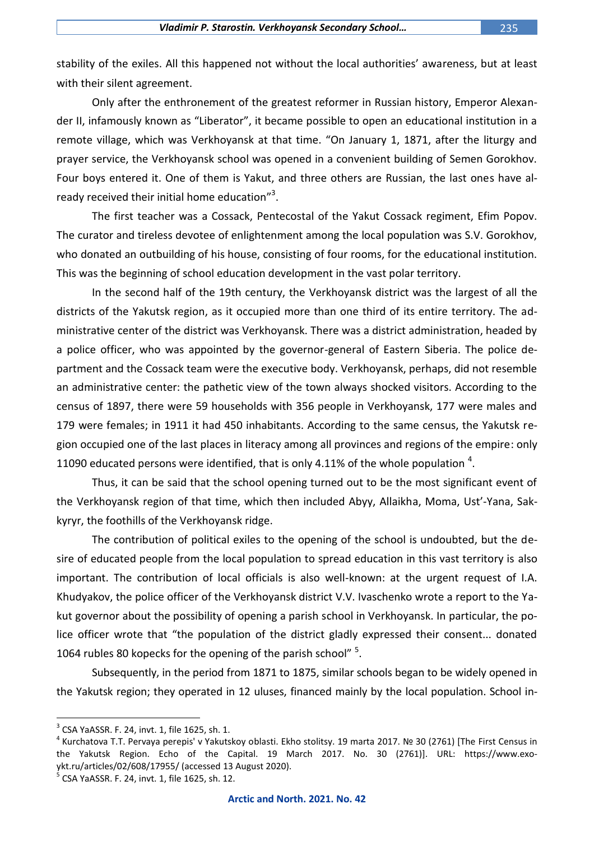stability of the exiles. All this happened not without the local authorities' awareness, but at least with their silent agreement.

Only after the enthronement of the greatest reformer in Russian history, Emperor Alexander II, infamously known as "Liberator", it became possible to open an educational institution in a remote village, which was Verkhoyansk at that time. "On January 1, 1871, after the liturgy and prayer service, the Verkhoyansk school was opened in a convenient building of Semen Gorokhov. Four boys entered it. One of them is Yakut, and three others are Russian, the last ones have already received their initial home education"<sup>3</sup>.

The first teacher was a Cossack, Pentecostal of the Yakut Cossack regiment, Efim Popov. The curator and tireless devotee of enlightenment among the local population was S.V. Gorokhov, who donated an outbuilding of his house, consisting of four rooms, for the educational institution. This was the beginning of school education development in the vast polar territory.

In the second half of the 19th century, the Verkhoyansk district was the largest of all the districts of the Yakutsk region, as it occupied more than one third of its entire territory. The administrative center of the district was Verkhoyansk. There was a district administration, headed by a police officer, who was appointed by the governor-general of Eastern Siberia. The police department and the Cossack team were the executive body. Verkhoyansk, perhaps, did not resemble an administrative center: the pathetic view of the town always shocked visitors. According to the census of 1897, there were 59 households with 356 people in Verkhoyansk, 177 were males and 179 were females; in 1911 it had 450 inhabitants. According to the same census, the Yakutsk region occupied one of the last places in literacy among all provinces and regions of the empire: only 11090 educated persons were identified, that is only 4.11% of the whole population  $^4$ .

Thus, it can be said that the school opening turned out to be the most significant event of the Verkhoyansk region of that time, which then included Abyy, Allaikha, Moma, Ust'-Yana, Sakkyryr, the foothills of the Verkhoyansk ridge.

The contribution of political exiles to the opening of the school is undoubted, but the desire of educated people from the local population to spread education in this vast territory is also important. The contribution of local officials is also well-known: at the urgent request of I.A. Khudyakov, the police officer of the Verkhoyansk district V.V. Ivaschenko wrote a report to the Yakut governor about the possibility of opening a parish school in Verkhoyansk. In particular, the police officer wrote that "the population of the district gladly expressed their consent... donated 1064 rubles 80 kopecks for the opening of the parish school" <sup>5</sup>.

Subsequently, in the period from 1871 to 1875, similar schools began to be widely opened in the Yakutsk region; they operated in 12 uluses, financed mainly by the local population. School in-

 $3$  CSA YaASSR. F. 24, invt. 1, file 1625, sh. 1.

<sup>&</sup>lt;sup>4</sup> Kurchatova T.T. Pervaya perepis' v Yakutskoy oblasti. Ekho stolitsy. 19 marta 2017. № 30 (2761) [The First Census in the Yakutsk Region. Echo of the Capital. 19 March 2017. No. 30 (2761)]. URL: https://www.exoykt.ru/articles/02/608/17955/ (accessed 13 August 2020).<br><sup>5</sup> CSA XaASSP, E. 24 jp.t. 1, file 1625, ch. 12.

CSA YaASSR. F. 24, invt. 1, file 1625, sh. 12.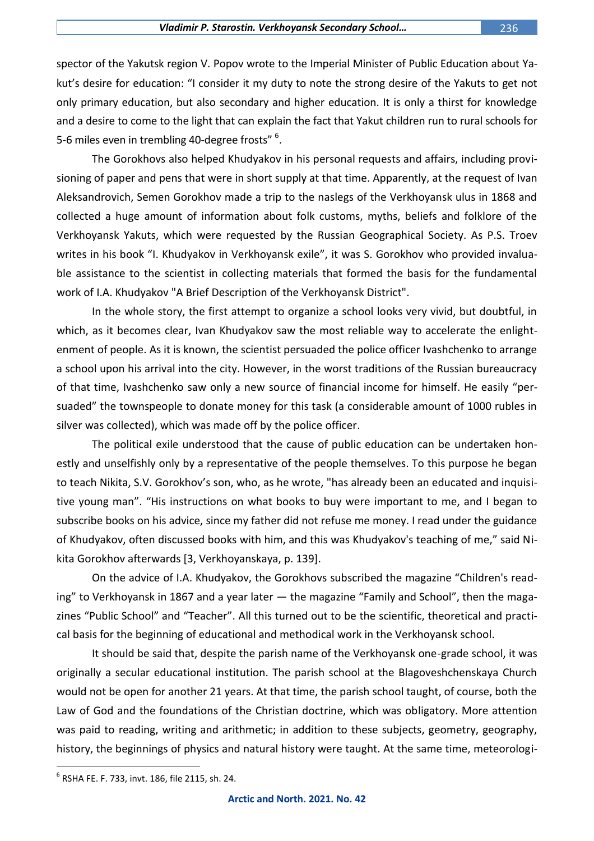spector of the Yakutsk region V. Popov wrote to the Imperial Minister of Public Education about Yakut's desire for education: "I consider it my duty to note the strong desire of the Yakuts to get not only primary education, but also secondary and higher education. It is only a thirst for knowledge and a desire to come to the light that can explain the fact that Yakut children run to rural schools for 5-6 miles even in trembling 40-degree frosts"  $^6$ .

The Gorokhovs also helped Khudyakov in his personal requests and affairs, including provisioning of paper and pens that were in short supply at that time. Apparently, at the request of Ivan Aleksandrovich, Semen Gorokhov made a trip to the naslegs of the Verkhoyansk ulus in 1868 and collected a huge amount of information about folk customs, myths, beliefs and folklore of the Verkhoyansk Yakuts, which were requested by the Russian Geographical Society. As P.S. Troev writes in his book "I. Khudyakov in Verkhoyansk exile", it was S. Gorokhov who provided invaluable assistance to the scientist in collecting materials that formed the basis for the fundamental work of I.A. Khudyakov "A Brief Description of the Verkhoyansk District".

In the whole story, the first attempt to organize a school looks very vivid, but doubtful, in which, as it becomes clear, Ivan Khudyakov saw the most reliable way to accelerate the enlightenment of people. As it is known, the scientist persuaded the police officer Ivashchenko to arrange a school upon his arrival into the city. However, in the worst traditions of the Russian bureaucracy of that time, Ivashchenko saw only a new source of financial income for himself. He easily "persuaded" the townspeople to donate money for this task (a considerable amount of 1000 rubles in silver was collected), which was made off by the police officer.

The political exile understood that the cause of public education can be undertaken honestly and unselfishly only by a representative of the people themselves. To this purpose he began to teach Nikita, S.V. Gorokhov's son, who, as he wrote, "has already been an educated and inquisitive young man". "His instructions on what books to buy were important to me, and I began to subscribe books on his advice, since my father did not refuse me money. I read under the guidance of Khudyakov, often discussed books with him, and this was Khudyakov's teaching of me," said Nikita Gorokhov afterwards [3, Verkhoyanskaya, p. 139].

On the advice of I.A. Khudyakov, the Gorokhovs subscribed the magazine "Children's reading" to Verkhoyansk in 1867 and a year later — the magazine "Family and School", then the magazines "Public School" and "Teacher". All this turned out to be the scientific, theoretical and practical basis for the beginning of educational and methodical work in the Verkhoyansk school.

It should be said that, despite the parish name of the Verkhoyansk one-grade school, it was originally a secular educational institution. The parish school at the Blagoveshchenskaya Church would not be open for another 21 years. At that time, the parish school taught, of course, both the Law of God and the foundations of the Christian doctrine, which was obligatory. More attention was paid to reading, writing and arithmetic; in addition to these subjects, geometry, geography, history, the beginnings of physics and natural history were taught. At the same time, meteorologi-

 $^6$  RSHA FE. F. 733, invt. 186, file 2115, sh. 24.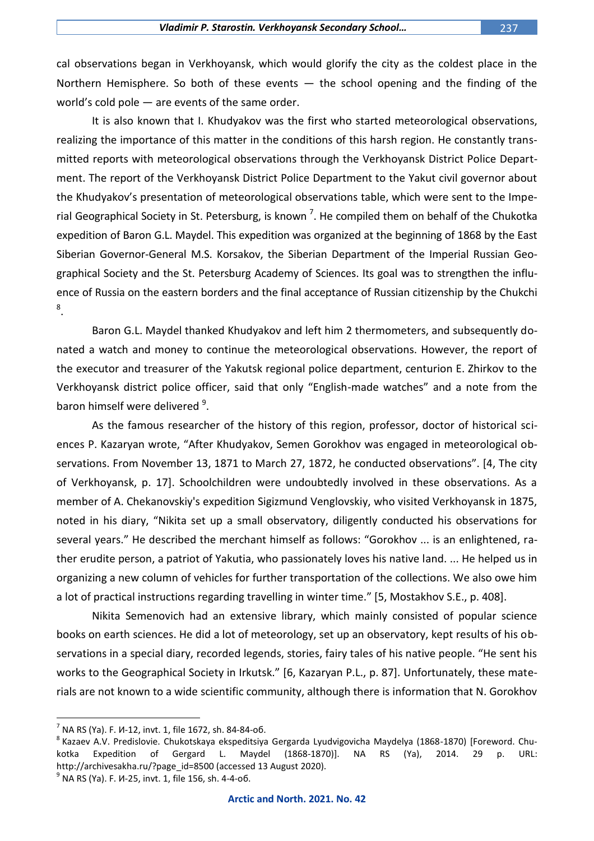cal observations began in Verkhoyansk, which would glorify the city as the coldest place in the Northern Hemisphere. So both of these events  $-$  the school opening and the finding of the world's cold pole — are events of the same order.

It is also known that I. Khudyakov was the first who started meteorological observations, realizing the importance of this matter in the conditions of this harsh region. He constantly transmitted reports with meteorological observations through the Verkhoyansk District Police Department. The report of the Verkhoyansk District Police Department to the Yakut civil governor about the Khudyakov's presentation of meteorological observations table, which were sent to the Imperial Geographical Society in St. Petersburg, is known<sup>7</sup>. He compiled them on behalf of the Chukotka expedition of Baron G.L. Maydel. This expedition was organized at the beginning of 1868 by the East Siberian Governor-General M.S. Korsakov, the Siberian Department of the Imperial Russian Geographical Society and the St. Petersburg Academy of Sciences. Its goal was to strengthen the influence of Russia on the eastern borders and the final acceptance of Russian citizenship by the Chukchi 8 .

Baron G.L. Maydel thanked Khudyakov and left him 2 thermometers, and subsequently donated a watch and money to continue the meteorological observations. However, the report of the executor and treasurer of the Yakutsk regional police department, centurion E. Zhirkov to the Verkhoyansk district police officer, said that only "English-made watches" and a note from the baron himself were delivered <sup>9</sup>.

As the famous researcher of the history of this region, professor, doctor of historical sciences P. Kazaryan wrote, "After Khudyakov, Semen Gorokhov was engaged in meteorological observations. From November 13, 1871 to March 27, 1872, he conducted observations". [4, The city of Verkhoyansk, p. 17]. Schoolchildren were undoubtedly involved in these observations. As a member of A. Chekanovskiy's expedition Sigizmund Venglovskiy, who visited Verkhoyansk in 1875, noted in his diary, "Nikita set up a small observatory, diligently conducted his observations for several years." He described the merchant himself as follows: "Gorokhov ... is an enlightened, rather erudite person, a patriot of Yakutia, who passionately loves his native land. ... He helped us in organizing a new column of vehicles for further transportation of the collections. We also owe him a lot of practical instructions regarding travelling in winter time." [5, Mostakhov S.E., p. 408].

Nikita Semenovich had an extensive library, which mainly consisted of popular science books on earth sciences. He did a lot of meteorology, set up an observatory, kept results of his observations in a special diary, recorded legends, stories, fairy tales of his native people. "He sent his works to the Geographical Society in Irkutsk." [6, Kazaryan P.L., p. 87]. Unfortunately, these materials are not known to a wide scientific community, although there is information that N. Gorokhov

 $^7$  NA RS (Ya). F. И-12, invt. 1, file 1672, sh. 84-84-об.

<sup>&</sup>lt;sup>8</sup> Kazaev A.V. Predislovie. Chukotskaya ekspeditsiya Gergarda Lyudvigovicha Maydelya (1868-1870) [Foreword. Chukotka Expedition of Gergard L. Maydel (1868-1870)]. NA RS (Ya), 2014. 29 p. URL: http://archivesakha.ru/?page\_id=8500 (accessed 13 August 2020).

<sup>&</sup>lt;sup>9</sup> NA RS (Ya). F. И-25, invt. 1, file 156, sh. 4-4-об.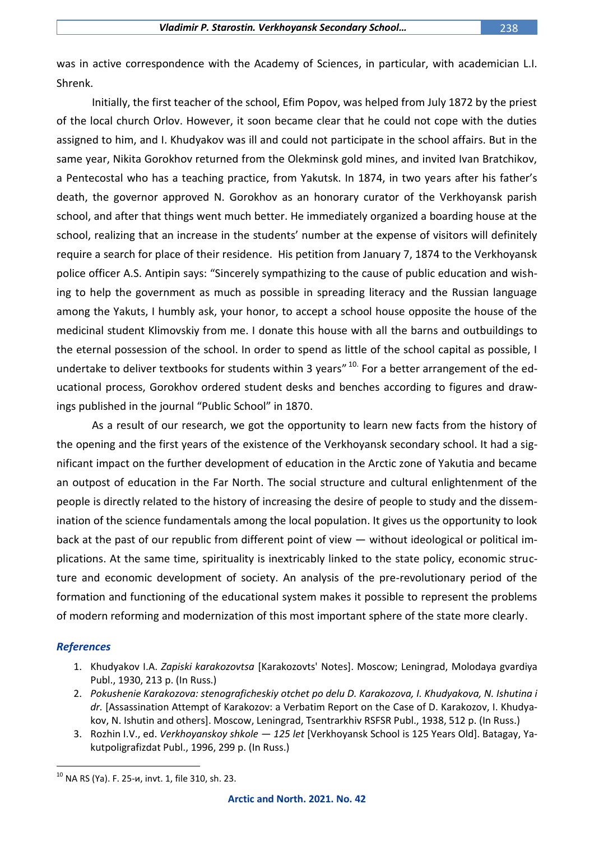was in active correspondence with the Academy of Sciences, in particular, with academician L.I. Shrenk.

Initially, the first teacher of the school, Efim Popov, was helped from July 1872 by the priest of the local church Orlov. However, it soon became clear that he could not cope with the duties assigned to him, and I. Khudyakov was ill and could not participate in the school affairs. But in the same year, Nikita Gorokhov returned from the Olekminsk gold mines, and invited Ivan Bratchikov, a Pentecostal who has a teaching practice, from Yakutsk. In 1874, in two years after his father's death, the governor approved N. Gorokhov as an honorary curator of the Verkhoyansk parish school, and after that things went much better. He immediately organized a boarding house at the school, realizing that an increase in the students' number at the expense of visitors will definitely require a search for place of their residence. His petition from January 7, 1874 to the Verkhoyansk police officer A.S. Antipin says: "Sincerely sympathizing to the cause of public education and wishing to help the government as much as possible in spreading literacy and the Russian language among the Yakuts, I humbly ask, your honor, to accept a school house opposite the house of the medicinal student Klimovskiy from me. I donate this house with all the barns and outbuildings to the eternal possession of the school. In order to spend as little of the school capital as possible, I undertake to deliver textbooks for students within 3 years" <sup>10.</sup> For a better arrangement of the educational process, Gorokhov ordered student desks and benches according to figures and drawings published in the journal "Public School" in 1870.

As a result of our research, we got the opportunity to learn new facts from the history of the opening and the first years of the existence of the Verkhoyansk secondary school. It had a significant impact on the further development of education in the Arctic zone of Yakutia and became an outpost of education in the Far North. The social structure and cultural enlightenment of the people is directly related to the history of increasing the desire of people to study and the dissemination of the science fundamentals among the local population. It gives us the opportunity to look back at the past of our republic from different point of view — without ideological or political implications. At the same time, spirituality is inextricably linked to the state policy, economic structure and economic development of society. An analysis of the pre-revolutionary period of the formation and functioning of the educational system makes it possible to represent the problems of modern reforming and modernization of this most important sphere of the state more clearly.

## *References*

- 1. Khudyakov I.A. *Zapiski karakozovtsa* [Karakozovts' Notes]. Moscow; Leningrad, Molodaya gvardiya Publ., 1930, 213 p. (In Russ.)
- 2. *Pokushenie Karakozova: stenograficheskiy otchet po delu D. Karakozova, I. Khudyakova, N. Ishutina i dr.* [Assassination Attempt of Karakozov: a Verbatim Report on the Case of D. Karakozov, I. Khudyakov, N. Ishutin and others]. Moscow, Leningrad, Tsentrarkhiv RSFSR Publ., 1938, 512 p. (In Russ.)
- 3. Rozhin I.V., ed. *Verkhoyanskoy shkole — 125 let* [Verkhoyansk School is 125 Years Old]. Batagay, Yakutpoligrafizdat Publ., 1996, 299 p. (In Russ.)

 $10$  NA RS (Ya). F. 25-и, invt. 1, file 310, sh. 23.